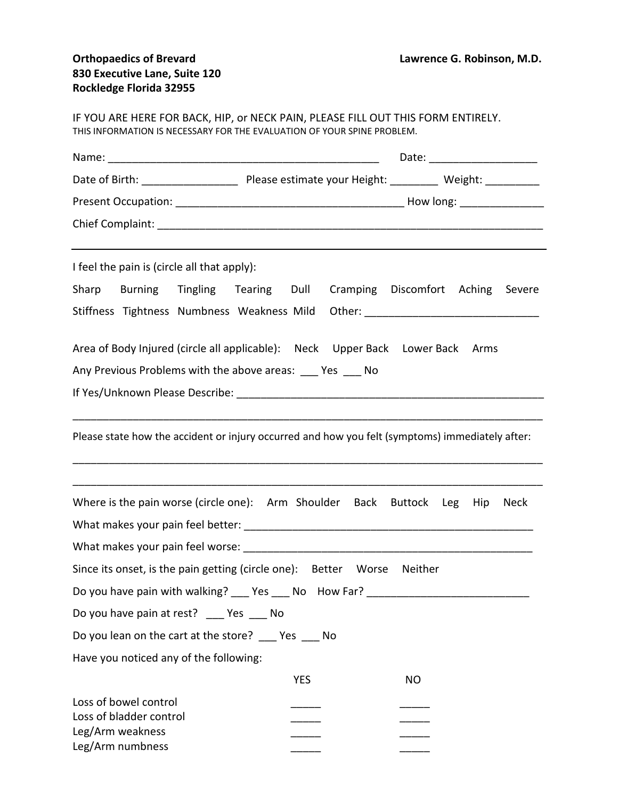| IF YOU ARE HERE FOR BACK, HIP, or NECK PAIN, PLEASE FILL OUT THIS FORM ENTIRELY.<br>THIS INFORMATION IS NECESSARY FOR THE EVALUATION OF YOUR SPINE PROBLEM. |                                                                                                 |
|-------------------------------------------------------------------------------------------------------------------------------------------------------------|-------------------------------------------------------------------------------------------------|
|                                                                                                                                                             | Date: ________________________                                                                  |
|                                                                                                                                                             |                                                                                                 |
|                                                                                                                                                             |                                                                                                 |
|                                                                                                                                                             |                                                                                                 |
| I feel the pain is (circle all that apply):                                                                                                                 |                                                                                                 |
| Sharp Burning Tingling Tearing Dull                                                                                                                         | Cramping Discomfort Aching Severe                                                               |
|                                                                                                                                                             | Stiffness Tightness Numbness Weakness Mild Other: ______________________________                |
| Area of Body Injured (circle all applicable): Neck Upper Back Lower Back Arms                                                                               |                                                                                                 |
| Any Previous Problems with the above areas: Yes No                                                                                                          |                                                                                                 |
|                                                                                                                                                             |                                                                                                 |
|                                                                                                                                                             | Please state how the accident or injury occurred and how you felt (symptoms) immediately after: |
| Where is the pain worse (circle one): Arm Shoulder Back Buttock Leg Hip                                                                                     | Neck                                                                                            |
|                                                                                                                                                             |                                                                                                 |
|                                                                                                                                                             |                                                                                                 |
| Since its onset, is the pain getting (circle one): Better Worse Neither                                                                                     |                                                                                                 |
|                                                                                                                                                             | Do you have pain with walking? ___ Yes ___ No How Far? _________________________                |
| Do you have pain at rest? __ Yes __ No                                                                                                                      |                                                                                                 |
| Do you lean on the cart at the store? Yes No                                                                                                                |                                                                                                 |
| Have you noticed any of the following:                                                                                                                      |                                                                                                 |
|                                                                                                                                                             | <b>YES</b><br><b>NO</b>                                                                         |
| Loss of bowel control<br>Loss of bladder control<br>Leg/Arm weakness<br>Leg/Arm numbness                                                                    |                                                                                                 |